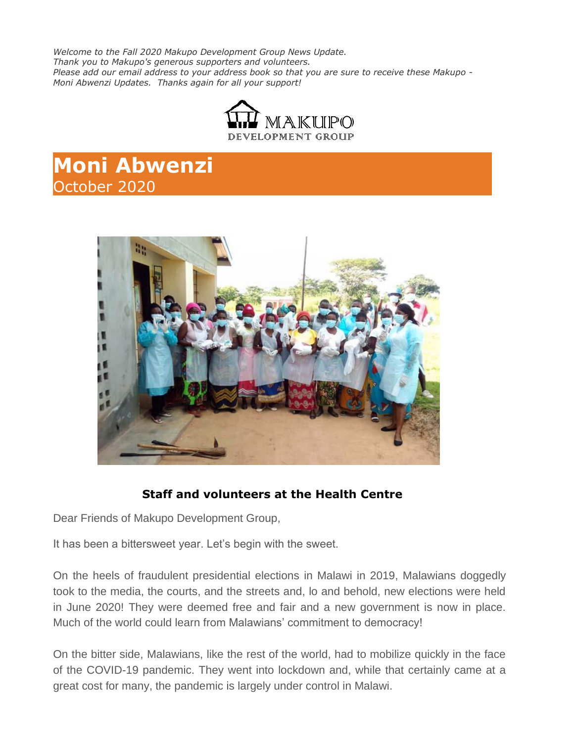*Welcome to the Fall 2020 Makupo Development Group News Update. Thank you to Makupo's generous supporters and volunteers. Please add our email address to your address book so that you are sure to receive these Makupo - Moni Abwenzi Updates. Thanks again for all your support!*



## **Moni Abwenzi** October 2020



## **Staff and volunteers at the Health Centre**

Dear Friends of Makupo Development Group,

It has been a bittersweet year. Let's begin with the sweet.

On the heels of fraudulent presidential elections in Malawi in 2019, Malawians doggedly took to the media, the courts, and the streets and, lo and behold, new elections were held in June 2020! They were deemed free and fair and a new government is now in place. Much of the world could learn from Malawians' commitment to democracy!

On the bitter side, Malawians, like the rest of the world, had to mobilize quickly in the face of the COVID-19 pandemic. They went into lockdown and, while that certainly came at a great cost for many, the pandemic is largely under control in Malawi.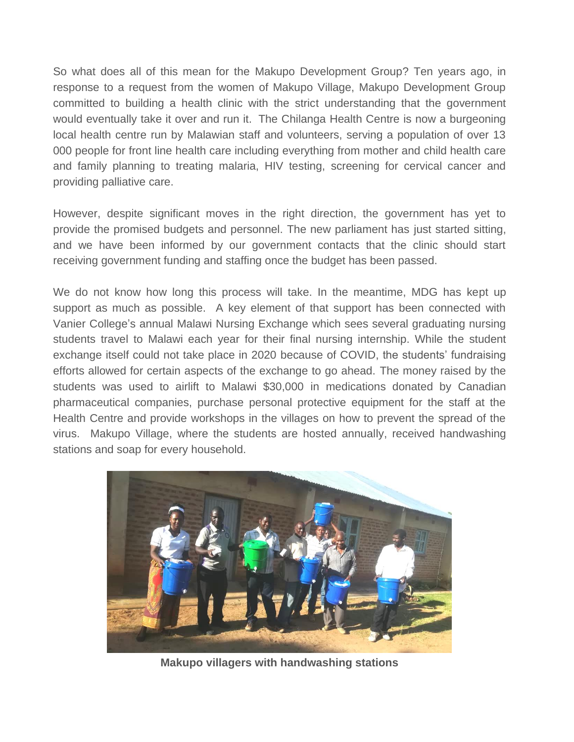So what does all of this mean for the Makupo Development Group? Ten years ago, in response to a request from the women of Makupo Village, Makupo Development Group committed to building a health clinic with the strict understanding that the government would eventually take it over and run it. The Chilanga Health Centre is now a burgeoning local health centre run by Malawian staff and volunteers, serving a population of over 13 000 people for front line health care including everything from mother and child health care and family planning to treating malaria, HIV testing, screening for cervical cancer and providing palliative care.

However, despite significant moves in the right direction, the government has yet to provide the promised budgets and personnel. The new parliament has just started sitting, and we have been informed by our government contacts that the clinic should start receiving government funding and staffing once the budget has been passed.

We do not know how long this process will take. In the meantime, MDG has kept up support as much as possible. A key element of that support has been connected with Vanier College's annual Malawi Nursing Exchange which sees several graduating nursing students travel to Malawi each year for their final nursing internship. While the student exchange itself could not take place in 2020 because of COVID, the students' fundraising efforts allowed for certain aspects of the exchange to go ahead. The money raised by the students was used to airlift to Malawi \$30,000 in medications donated by Canadian pharmaceutical companies, purchase personal protective equipment for the staff at the Health Centre and provide workshops in the villages on how to prevent the spread of the virus. Makupo Village, where the students are hosted annually, received handwashing stations and soap for every household.



**Makupo villagers with handwashing stations**